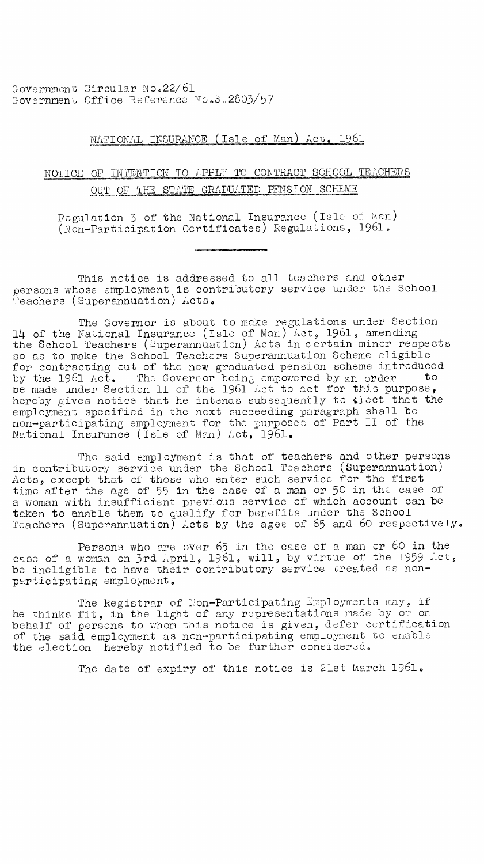Government Circular No.22/61 Government Office Reference Yo.S.2803/57

## NATIONAL INSURANCE (Isle of Man) Act. 1961

## NOTICE OF INTENTION TO LPPL7 TO CONTRACT SCHOOL TEACHERS OUT OF THE STATE GRADUATED PENSION SCHEME

Regulation 3 of the National Insurance (Isle of Man) (Non-Participation Certificates) Regulations, 1961.

This notice is addressed to all teachers and other persons whose employment is contributory service under the School Teachers (Superannuation) Acts.

The Governor is about to make regulations under Section 14 of the National Insurance (Isle of Man) Act, 1961, amending the School Teachers (Superannuation) Acts in certain minor respects so as to make the School Teachers Superannuation Scheme eligible for contracting out of the new graduated pension scheme introduced by the 1961 Act. The Governor being empowered by an order to be made under Section 11 of the 1961 *het* to act for this purpose, hereby gives notice that he intends subsequently to  $i$ ect that the employment specified in the next succeeding paragraph shall be non-participating employment for the purposes of Part II of the National Insurance (Isle of Man) Act, 1961.

The said employment is that of teachers and other persons in contributory service under the School Teachers (Superannuation) Acts, except that of those who enter such service for the first time after the age of 55 in the case of a man or 50 in the case of a woman with insufficient previous service of which account can be taken to enable them to qualify for benefits under the School Teachers (Superannuation) Acts by the ages of 65 and 60 respectively.

Persons who are over 65 in the case of a man or 60 in the case of a woman on 3rd April, 1961, will, by virtue of the 1959 Act, be ineligible to have their contributory service created as nonparticipating employment.

The Registrar of Non-Participating Employments may, if he thinks fit, in the light of any representations made by or on behalf of persons to whom this notice is given, defer certification of the said employment as non-participating employment to enable the election hereby notified to be further considered.

. The date of expiry of this notice is 21st March 1961.